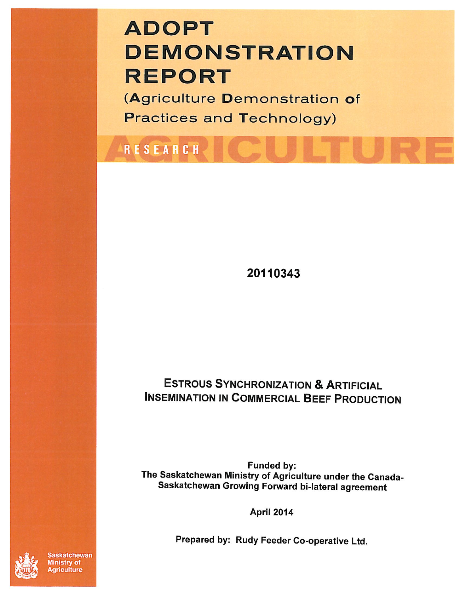# **ADOPT DEMONSTRATION REPORT**

(Agriculture Demonstration of **Practices and Technology)** 

RESEARCH

20110343

# **ESTROUS SYNCHRONIZATION & ARTIFICIAL INSEMINATION IN COMMERCIAL BEEF PRODUCTION**

Funded by: The Saskatchewan Ministry of Agriculture under the Canada-Saskatchewan Growing Forward bi-lateral agreement

**April 2014** 

Prepared by: Rudy Feeder Co-operative Ltd.



**askatchewan** Ministry of **Agriculture**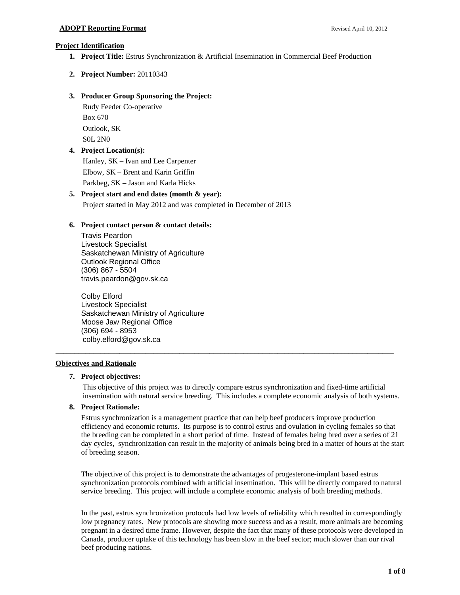# **Project Identification**

- **1. Project Title:** Estrus Synchronization & Artificial Insemination in Commercial Beef Production
- **2. Project Number:** 20110343

# **3. Producer Group Sponsoring the Project:**

Rudy Feeder Co-operative Box 670 Outlook, SK S0L 2N0

# **4. Project Location(s):**

Hanley, SK – Ivan and Lee Carpenter Elbow, SK – Brent and Karin Griffin Parkbeg, SK – Jason and Karla Hicks

# **5. Project start and end dates (month & year):**

Project started in May 2012 and was completed in December of 2013

# **6. Project contact person & contact details:**

Travis Peardon Livestock Specialist Saskatchewan Ministry of Agriculture Outlook Regional Office (306) 867 - 5504 travis.peardon@gov.sk.ca

Colby Elford Livestock Specialist Saskatchewan Ministry of Agriculture Moose Jaw Regional Office (306) 694 - 8953 colby.elford@gov.sk.ca

# **Objectives and Rationale**

# **7. Project objectives:**

This objective of this project was to directly compare estrus synchronization and fixed-time artificial insemination with natural service breeding. This includes a complete economic analysis of both systems.

\_\_\_\_\_\_\_\_\_\_\_\_\_\_\_\_\_\_\_\_\_\_\_\_\_\_\_\_\_\_\_\_\_\_\_\_\_\_\_\_\_\_\_\_\_\_\_\_\_\_\_\_\_\_\_\_\_\_\_\_\_\_\_\_\_\_\_\_\_\_\_\_\_\_\_\_\_\_\_\_\_\_\_\_\_\_\_\_\_\_

# **8. Project Rationale:**

Estrus synchronization is a management practice that can help beef producers improve production efficiency and economic returns. Its purpose is to control estrus and ovulation in cycling females so that the breeding can be completed in a short period of time. Instead of females being bred over a series of 21 day cycles, synchronization can result in the majority of animals being bred in a matter of hours at the start of breeding season.

The objective of this project is to demonstrate the advantages of progesterone-implant based estrus synchronization protocols combined with artificial insemination. This will be directly compared to natural service breeding. This project will include a complete economic analysis of both breeding methods.

In the past, estrus synchronization protocols had low levels of reliability which resulted in correspondingly low pregnancy rates. New protocols are showing more success and as a result, more animals are becoming pregnant in a desired time frame. However, despite the fact that many of these protocols were developed in Canada, producer uptake of this technology has been slow in the beef sector; much slower than our rival beef producing nations.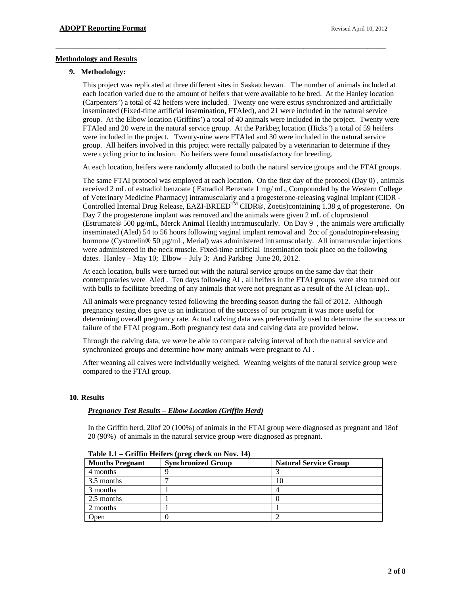# **Methodology and Results**

# **9. Methodology:**

This project was replicated at three different sites in Saskatchewan. The number of animals included at each location varied due to the amount of heifers that were available to be bred. At the Hanley location (Carpenters') a total of 42 heifers were included. Twenty one were estrus synchronized and artificially inseminated (Fixed-time artificial insemination, FTAIed), and 21 were included in the natural service group. At the Elbow location (Griffins') a total of 40 animals were included in the project. Twenty were FTAIed and 20 were in the natural service group. At the Parkbeg location (Hicks') a total of 59 heifers were included in the project. Twenty-nine were FTAIed and 30 were included in the natural service group. All heifers involved in this project were rectally palpated by a veterinarian to determine if they were cycling prior to inclusion. No heifers were found unsatisfactory for breeding.

\_\_\_\_\_\_\_\_\_\_\_\_\_\_\_\_\_\_\_\_\_\_\_\_\_\_\_\_\_\_\_\_\_\_\_\_\_\_\_\_\_\_\_\_\_\_\_\_\_\_\_\_\_\_\_\_\_\_\_\_\_\_\_\_\_\_\_\_\_\_\_\_\_\_\_\_\_\_\_\_\_\_\_\_\_\_\_\_

At each location, heifers were randomly allocated to both the natural service groups and the FTAI groups.

The same FTAI protocol was employed at each location. On the first day of the protocol (Day 0) , animals received 2 mL of estradiol benzoate ( Estradiol Benzoate 1 mg/ mL, Compounded by the Western College of Veterinary Medicine Pharmacy) intramuscularly and a progesterone-releasing vaginal implant (CIDR - Controlled Internal Drug Release, EAZI-BREED<sup>TM</sup> CIDR®, Zoetis)containing 1.38 g of progesterone. On Day 7 the progesterone implant was removed and the animals were given 2 mL of cloprostenol (Estrumate® 500 µg/mL, Merck Animal Health) intramuscularly. On Day 9 , the animals were artificially inseminated (AIed) 54 to 56 hours following vaginal implant removal and 2cc of gonadotropin-releasing hormone (Cystorelin<sup>®</sup> 50 µg/mL, Merial) was administered intramuscularly. All intramuscular injections were administered in the neck muscle. Fixed-time artificial insemination took place on the following dates. Hanley – May 10; Elbow – July 3; And Parkbeg June 20, 2012.

At each location, bulls were turned out with the natural service groups on the same day that their contemporaries were AIed . Ten days following AI , all heifers in the FTAI groups were also turned out with bulls to facilitate breeding of any animals that were not pregnant as a result of the AI (clean-up)..

All animals were pregnancy tested following the breeding season during the fall of 2012. Although pregnancy testing does give us an indication of the success of our program it was more useful for determining overall pregnancy rate. Actual calving data was preferentially used to determine the success or failure of the FTAI program..Both pregnancy test data and calving data are provided below.

Through the calving data, we were be able to compare calving interval of both the natural service and synchronized groups and determine how many animals were pregnant to AI .

After weaning all calves were individually weighed. Weaning weights of the natural service group were compared to the FTAI group.

# **10. Results**

# *Pregnancy Test Results – Elbow Location (Griffin Herd)*

In the Griffin herd, 20of 20 (100%) of animals in the FTAI group were diagnosed as pregnant and 18of 20 (90%) of animals in the natural service group were diagnosed as pregnant.

| <b>Months Pregnant</b> | <b>Synchronized Group</b> | <b>Natural Service Group</b> |
|------------------------|---------------------------|------------------------------|
| 4 months               |                           |                              |
| 3.5 months             |                           |                              |
| 3 months               |                           |                              |
| 2.5 months             |                           |                              |
| 2 months               |                           |                              |
| Open                   |                           |                              |

**Table 1.1 – Griffin Heifers (preg check on Nov. 14)**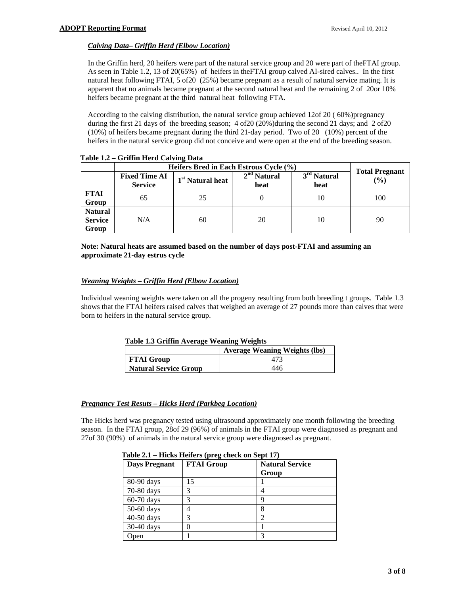# *Calving Data– Griffin Herd (Elbow Location)*

In the Griffin herd, 20 heifers were part of the natural service group and 20 were part of theFTAI group. As seen in Table 1.2, 13 of 20(65%) of heifers in theFTAI group calved AI-sired calves.. In the first natural heat following FTAI, 5 of20 (25%) became pregnant as a result of natural service mating. It is apparent that no animals became pregnant at the second natural heat and the remaining 2 of 20or 10% heifers became pregnant at the third natural heat following FTA.

According to the calving distribution, the natural service group achieved 12of 20 ( 60%)pregnancy during the first 21 days of the breeding season; 4 of 20 (20%) during the second 21 days; and 2 of 20 (10%) of heifers became pregnant during the third 21-day period. Two of 20 (10%) percent of the heifers in the natural service group did not conceive and were open at the end of the breeding season.

|                                           | Heifers Bred in Each Estrous Cycle (%) |                              |                       |                                 | <b>Total Pregnant</b> |
|-------------------------------------------|----------------------------------------|------------------------------|-----------------------|---------------------------------|-----------------------|
|                                           | <b>Fixed Time AI</b><br><b>Service</b> | 1 <sup>st</sup> Natural heat | $2nd$ Natural<br>heat | 3 <sup>rd</sup> Natural<br>heat | (%)                   |
| <b>FTAI</b><br>Group                      | 65                                     | 25                           |                       | 10                              | 100                   |
| <b>Natural</b><br><b>Service</b><br>Group | N/A                                    | 60                           | 20                    | 10                              | 90                    |

**Table 1.2 – Griffin Herd Calving Data** 

**Note: Natural heats are assumed based on the number of days post-FTAI and assuming an approximate 21-day estrus cycle** 

# *Weaning Weights – Griffin Herd (Elbow Location)*

Individual weaning weights were taken on all the progeny resulting from both breeding t groups. Table 1.3 shows that the FTAI heifers raised calves that weighed an average of 27 pounds more than calves that were born to heifers in the natural service group.

|                              | <b>Average Weaning Weights (lbs)</b> |
|------------------------------|--------------------------------------|
| <b>FTAI Group</b>            |                                      |
| <b>Natural Service Group</b> | 446                                  |

# *Pregnancy Test Resuts – Hicks Herd (Parkbeg Location)*

The Hicks herd was pregnancy tested using ultrasound approximately one month following the breeding season. In the FTAI group, 28of 29 (96%) of animals in the FTAI group were diagnosed as pregnant and 27of 30 (90%) of animals in the natural service group were diagnosed as pregnant.

| <b>Days Pregnant</b> | <b>FTAI Group</b> | <b>Natural Service</b><br>Group |
|----------------------|-------------------|---------------------------------|
| 80-90 days           | 15                |                                 |
| 70-80 days           | 3                 |                                 |
| 60-70 days           | 3                 | Q                               |
| 50-60 days           |                   |                                 |
| 40-50 days           | 3                 |                                 |
| 30-40 days           |                   |                                 |
| Open                 |                   |                                 |

| Table 2.1 – Hicks Heifers (preg check on Sept 17) |  |  |  |  |
|---------------------------------------------------|--|--|--|--|
|---------------------------------------------------|--|--|--|--|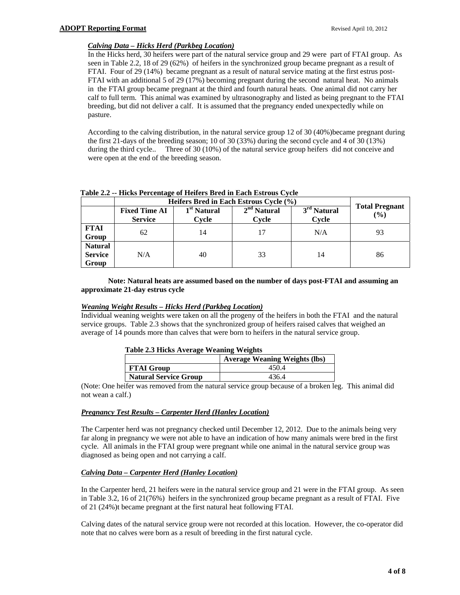# *Calving Data – Hicks Herd (Parkbeg Location)*

In the Hicks herd, 30 heifers were part of the natural service group and 29 were part of FTAI group. As seen in Table 2.2, 18 of 29 (62%) of heifers in the synchronized group became pregnant as a result of FTAI. Four of 29 (14%) became pregnant as a result of natural service mating at the first estrus post-FTAI with an additional 5 of 29 (17%) becoming pregnant during the second natural heat. No animals in the FTAI group became pregnant at the third and fourth natural heats. One animal did not carry her calf to full term. This animal was examined by ultrasonography and listed as being pregnant to the FTAI breeding, but did not deliver a calf. It is assumed that the pregnancy ended unexpectedly while on pasture.

According to the calving distribution, in the natural service group 12 of 30 (40%)became pregnant during the first 21-days of the breeding season; 10 of 30 (33%) during the second cycle and 4 of 30 (13%) during the third cycle.. Three of 30 (10%) of the natural service group heifers did not conceive and were open at the end of the breeding season.

|                                           | Heifers Bred in Each Estrous Cycle (%) |                                  |                        |                        |                              |
|-------------------------------------------|----------------------------------------|----------------------------------|------------------------|------------------------|------------------------------|
|                                           | <b>Fixed Time AI</b><br><b>Service</b> | 1 <sup>st</sup> Natural<br>Cycle | $2nd$ Natural<br>Cycle | $3rd$ Natural<br>Cycle | <b>Total Pregnant</b><br>(%) |
| <b>FTAI</b><br>Group                      | 62                                     | 14                               |                        | N/A                    | 93                           |
| <b>Natural</b><br><b>Service</b><br>Group | N/A                                    | 40                               | 33                     | 14                     | 86                           |

# **Table 2.2 -- Hicks Percentage of Heifers Bred in Each Estrous Cycle**

# **Note: Natural heats are assumed based on the number of days post-FTAI and assuming an approximate 21-day estrus cycle**

#### *Weaning Weight Results – Hicks Herd (Parkbeg Location)*

Individual weaning weights were taken on all the progeny of the heifers in both the FTAI and the natural service groups. Table 2.3 shows that the synchronized group of heifers raised calves that weighed an average of 14 pounds more than calves that were born to heifers in the natural service group.

#### **Table 2.3 Hicks Average Weaning Weights**

|                              | <b>Average Weaning Weights (lbs)</b> |
|------------------------------|--------------------------------------|
| <b>FTAI Group</b>            | 450.4                                |
| <b>Natural Service Group</b> | 436.4                                |

(Note: One heifer was removed from the natural service group because of a broken leg. This animal did not wean a calf.)

# *Pregnancy Test Results – Carpenter Herd (Hanley Location)*

The Carpenter herd was not pregnancy checked until December 12, 2012. Due to the animals being very far along in pregnancy we were not able to have an indication of how many animals were bred in the first cycle. All animals in the FTAI group were pregnant while one animal in the natural service group was diagnosed as being open and not carrying a calf.

# *Calving Data – Carpenter Herd (Hanley Location)*

In the Carpenter herd, 21 heifers were in the natural service group and 21 were in the FTAI group. As seen in Table 3.2, 16 of 21(76%) heifers in the synchronized group became pregnant as a result of FTAI. Five of 21 (24%)t became pregnant at the first natural heat following FTAI.

Calving dates of the natural service group were not recorded at this location. However, the co-operator did note that no calves were born as a result of breeding in the first natural cycle.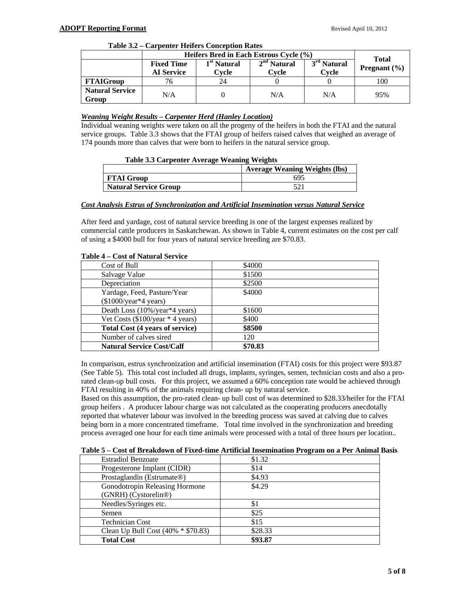|  | Table 3.2 – Carpenter Heifers Conception Rates |  |
|--|------------------------------------------------|--|
|--|------------------------------------------------|--|

|                                 | Heifers Bred in Each Estrous Cycle (%) |                                  |                        | <b>Total</b>                     |                                 |
|---------------------------------|----------------------------------------|----------------------------------|------------------------|----------------------------------|---------------------------------|
|                                 | <b>Fixed Time</b><br><b>AI Service</b> | 1 <sup>st</sup> Natural<br>Cvcle | $2nd$ Natural<br>Cvcle | 3 <sup>rd</sup> Natural<br>Cvcle | <b>Pregnant</b> $(\frac{6}{6})$ |
| <b>FTAIGroup</b>                |                                        | 24                               |                        |                                  | 100                             |
| <b>Natural Service</b><br>Group | N/A                                    |                                  | N/A                    | N/A                              | 95%                             |

#### *Weaning Weight Results – Carpenter Herd (Hanley Location)*

Individual weaning weights were taken on all the progeny of the heifers in both the FTAI and the natural service groups. Table 3.3 shows that the FTAI group of heifers raised calves that weighed an average of 174 pounds more than calves that were born to heifers in the natural service group.

#### **Table 3.3 Carpenter Average Weaning Weights**

|                              | <b>Average Weaning Weights (lbs)</b> |
|------------------------------|--------------------------------------|
| <b>FTAI Group</b>            | 694                                  |
| <b>Natural Service Group</b> |                                      |

#### *Cost Analysis Estrus of Synchronization and Artificial Insemination versus Natural Service*

After feed and yardage, cost of natural service breeding is one of the largest expenses realized by commercial cattle producers in Saskatchewan. As shown in Table 4, current estimates on the cost per calf of using a \$4000 bull for four years of natural service breeding are \$70.83.

| Cost of Bull                        | \$4000  |
|-------------------------------------|---------|
| Salvage Value                       | \$1500  |
| Depreciation                        | \$2500  |
| Yardage, Feed, Pasture/Year         | \$4000  |
| $(\$1000/\text{year*4 years})$      |         |
| Death Loss (10%/year*4 years)       | \$1600  |
| Vet Costs $(\$100$ /year * 4 years) | \$400   |
| Total Cost (4 years of service)     | \$8500  |
| Number of calves sired              | 120     |
| <b>Natural Service Cost/Calf</b>    | \$70.83 |

#### **Table 4 – Cost of Natural Service**

In comparison, estrus synchronization and artificial insemination (FTAI) costs for this project were \$93.87 (See Table 5). This total cost included all drugs, implants, syringes, semen, technician costs and also a prorated clean-up bull costs. For this project, we assumed a 60% conception rate would be achieved through FTAI resulting in 40% of the animals requiring clean- up by natural service.

Based on this assumption, the pro-rated clean- up bull cost of was determined to \$28.33/heifer for the FTAI group heifers . A producer labour charge was not calculated as the cooperating producers anecdotally reported that whatever labour was involved in the breeding process was saved at calving due to calves being born in a more concentrated timeframe. Total time involved in the synchronization and breeding process averaged one hour for each time animals were processed with a total of three hours per location..

# **Table 5 – Cost of Breakdown of Fixed-time Artificial Insemination Program on a Per Animal Basis**

| <b>Estradiol Benzoate</b>          | \$1.32  |
|------------------------------------|---------|
| Progesterone Implant (CIDR)        | \$14    |
| Prostaglandin (Estrumate®)         | \$4.93  |
| Gonodotropin Releasing Hormone     | \$4.29  |
| (GNRH) (Cystorelin®)               |         |
| Needles/Syringes etc.              | \$1     |
| Semen                              | \$25    |
| <b>Technician Cost</b>             | \$15    |
| Clean Up Bull Cost (40% * \$70.83) | \$28.33 |
| <b>Total Cost</b>                  | \$93.87 |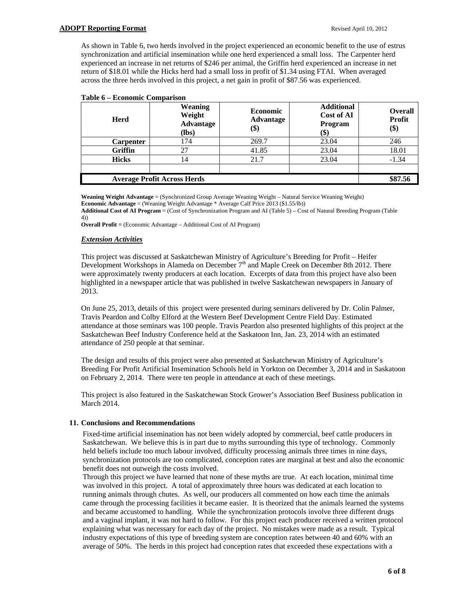As shown in Table 6, two herds involved in the project experienced an economic benefit to the use of estrus synchronization and artificial insemination while one herd experienced a small loss. The Carpenter herd experienced an increase in net returns of \$246 per animal, the Griffin herd experienced an increase in net return of \$18.01 while the Hicks herd had a small loss in profit of \$1.34 using FTAI. When averaged across the three herds involved in this project, a net gain in profit of \$87.56 was experienced.

| <b>Herd</b>                        | <b>Weaning</b><br>Weight<br><b>Advantage</b><br>$(lbs)$ | <b>Economic</b><br>Advantage<br>(\$) | <b>Additional</b><br>Cost of AI<br>Program<br>(\$) | <b>Overall</b><br><b>Profit</b><br>\$) |
|------------------------------------|---------------------------------------------------------|--------------------------------------|----------------------------------------------------|----------------------------------------|
| <b>Carpenter</b>                   | 174                                                     | 269.7                                | 23.04                                              | 246                                    |
| Griffin                            | 27                                                      | 41.85                                | 23.04                                              | 18.01                                  |
| <b>Hicks</b>                       |                                                         | 21.7                                 | 23.04                                              | $-1.34$                                |
|                                    |                                                         |                                      |                                                    |                                        |
| <b>Average Profit Across Herds</b> |                                                         |                                      |                                                    | \$87.56                                |

#### **Table 6 – Economic Comparison**

**Weaning Weight Advantage** = (Synchronized Group Average Weaning Weight – Natural Service Weaning Weight) **Economic Advantage** = (Weaning Weight Advantage \* Average Calf Price 2013 (\$1.55/lb))

**Additional Cost of AI Program** = (Cost of Synchronization Program and AI (Table 5) – Cost of Natural Breeding Program (Table 4))

**Overall Profit** = (Economic Advantage – Additional Cost of AI Program)

#### *Extension Activities*

This project was discussed at Saskatchewan Ministry of Agriculture's Breeding for Profit – Heifer Development Workshops in Alameda on December 7th and Maple Creek on December 8th 2012. There were approximately twenty producers at each location. Excerpts of data from this project have also been highlighted in a newspaper article that was published in twelve Saskatchewan newspapers in January of 2013.

On June 25, 2013, details of this project were presented during seminars delivered by Dr. Colin Palmer, Travis Peardon and Colby Elford at the Western Beef Development Centre Field Day. Estimated attendance at those seminars was 100 people. Travis Peardon also presented highlights of this project at the Saskatchewan Beef Industry Conference held at the Saskatoon Inn, Jan. 23, 2014 with an estimated attendance of 250 people at that seminar.

The design and results of this project were also presented at Saskatchewan Ministry of Agriculture's Breeding For Profit Artificial Insemination Schools held in Yorkton on December 3, 2014 and in Saskatoon on February 2, 2014. There were ten people in attendance at each of these meetings.

This project is also featured in the Saskatchewan Stock Grower's Association Beef Business publication in March 2014.

#### **11. Conclusions and Recommendations**

Fixed-time artificial insemination has not been widely adopted by commercial, beef cattle producers in Saskatchewan. We believe this is in part due to myths surrounding this type of technology. Commonly held beliefs include too much labour involved, difficulty processing animals three times in nine days, synchronization protocols are too complicated, conception rates are marginal at best and also the economic benefit does not outweigh the costs involved.

Through this project we have learned that none of these myths are true. At each location, minimal time was involved in this project. A total of approximately three hours was dedicated at each location to running animals through chutes. As well, our producers all commented on how each time the animals came through the processing facilities it became easier. It is theorized that the animals learned the systems and became accustomed to handling. While the synchronization protocols involve three different drugs and a vaginal implant, it was not hard to follow. For this project each producer received a written protocol explaining what was necessary for each day of the project. No mistakes were made as a result. Typical industry expectations of this type of breeding system are conception rates between 40 and 60% with an average of 50%. The herds in this project had conception rates that exceeded these expectations with a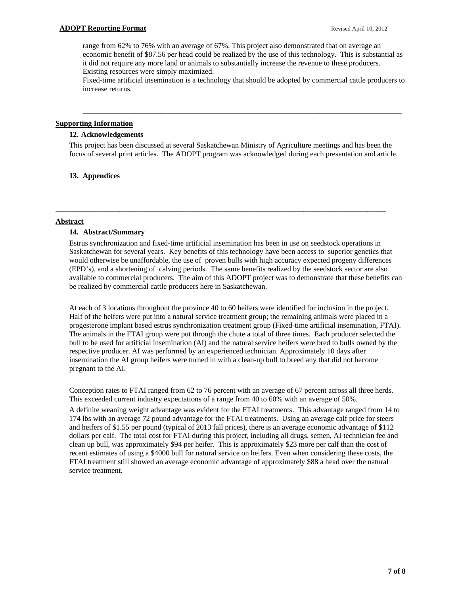range from 62% to 76% with an average of 67%. This project also demonstrated that on average an economic benefit of \$87.56 per head could be realized by the use of this technology. This is substantial as it did not require any more land or animals to substantially increase the revenue to these producers. Existing resources were simply maximized.

Fixed-time artificial insemination is a technology that should be adopted by commercial cattle producers to increase returns.

\_\_\_\_\_\_\_\_\_\_\_\_\_\_\_\_\_\_\_\_\_\_\_\_\_\_\_\_\_\_\_\_\_\_\_\_\_\_\_\_\_\_\_\_\_\_\_\_\_\_\_\_\_\_\_\_\_\_\_\_\_\_\_\_\_\_\_\_\_\_\_\_\_\_\_\_\_\_\_\_\_\_\_\_\_

#### **Supporting Information**

#### **12. Acknowledgements**

This project has been discussed at several Saskatchewan Ministry of Agriculture meetings and has been the focus of several print articles. The ADOPT program was acknowledged during each presentation and article.

\_\_\_\_\_\_\_\_\_\_\_\_\_\_\_\_\_\_\_\_\_\_\_\_\_\_\_\_\_\_\_\_\_\_\_\_\_\_\_\_\_\_\_\_\_\_\_\_\_\_\_\_\_\_\_\_\_\_\_\_\_\_\_\_\_\_\_\_\_\_\_\_\_\_\_\_\_\_\_\_\_\_\_\_\_\_\_\_

#### **13. Appendices**

#### **Abstract**

#### **14. Abstract/Summary**

Estrus synchronization and fixed-time artificial insemination has been in use on seedstock operations in Saskatchewan for several years. Key benefits of this technology have been access to superior genetics that would otherwise be unaffordable, the use of proven bulls with high accuracy expected progeny differences (EPD's), and a shortening of calving periods. The same benefits realized by the seedstock sector are also available to commercial producers. The aim of this ADOPT project was to demonstrate that these benefits can be realized by commercial cattle producers here in Saskatchewan.

At each of 3 locations throughout the province 40 to 60 heifers were identified for inclusion in the project. Half of the heifers were put into a natural service treatment group; the remaining animals were placed in a progesterone implant based estrus synchronization treatment group (Fixed-time artificial insemination, FTAI). The animals in the FTAI group were put through the chute a total of three times. Each producer selected the bull to be used for artificial insemination (AI) and the natural service heifers were bred to bulls owned by the respective producer. AI was performed by an experienced technician. Approximately 10 days after insemination the AI group heifers were turned in with a clean-up bull to breed any that did not become pregnant to the AI.

Conception rates to FTAI ranged from 62 to 76 percent with an average of 67 percent across all three herds. This exceeded current industry expectations of a range from 40 to 60% with an average of 50%.

A definite weaning weight advantage was evident for the FTAI treatments. This advantage ranged from 14 to 174 lbs with an average 72 pound advantage for the FTAI treatments. Using an average calf price for steers and heifers of \$1.55 per pound (typical of 2013 fall prices), there is an average economic advantage of \$112 dollars per calf. The total cost for FTAI during this project, including all drugs, semen, AI technician fee and clean up bull, was approximately \$94 per heifer. This is approximately \$23 more per calf than the cost of recent estimates of using a \$4000 bull for natural service on heifers. Even when considering these costs, the FTAI treatment still showed an average economic advantage of approximately \$88 a head over the natural service treatment.